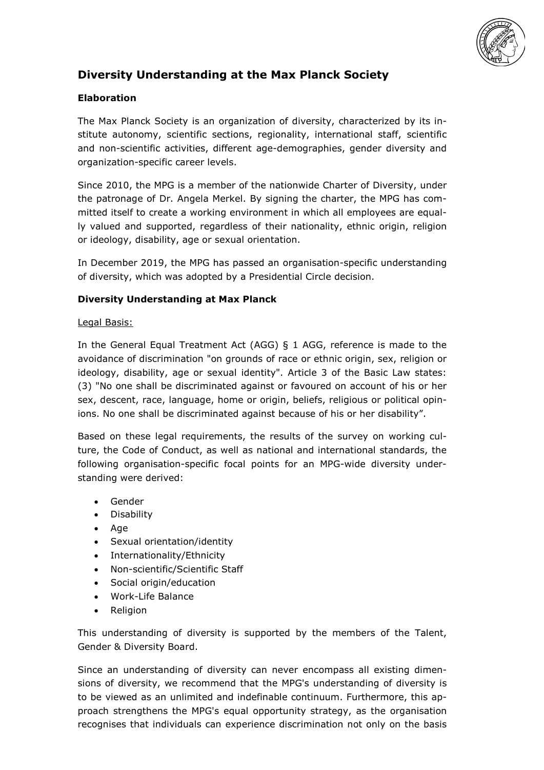

# **Diversity Understanding at the Max Planck Society**

### **Elaboration**

The Max Planck Society is an organization of diversity, characterized by its institute autonomy, scientific sections, regionality, international staff, scientific and non-scientific activities, different age-demographies, gender diversity and organization-specific career levels.

Since 2010, the MPG is a member of the nationwide Charter of Diversity, under the patronage of Dr. Angela Merkel. By signing the charter, the MPG has committed itself to create a working environment in which all employees are equally valued and supported, regardless of their nationality, ethnic origin, religion or ideology, disability, age or sexual orientation.

In December 2019, the MPG has passed an organisation-specific understanding of diversity, which was adopted by a Presidential Circle decision.

#### **Diversity Understanding at Max Planck**

#### Legal Basis:

In the General Equal Treatment Act (AGG) § 1 AGG, reference is made to the avoidance of discrimination "on grounds of race or ethnic origin, sex, religion or ideology, disability, age or sexual identity". Article 3 of the Basic Law states: (3) "No one shall be discriminated against or favoured on account of his or her sex, descent, race, language, home or origin, beliefs, religious or political opinions. No one shall be discriminated against because of his or her disability".

Based on these legal requirements, the results of the survey on working culture, the Code of Conduct, as well as national and international standards, the following organisation-specific focal points for an MPG-wide diversity understanding were derived:

- Gender
- Disability
- Age
- Sexual orientation/identity
- Internationality/Ethnicity
- Non-scientific/Scientific Staff
- Social origin/education
- Work-Life Balance
- **Religion**

This understanding of diversity is supported by the members of the Talent, Gender & Diversity Board.

Since an understanding of diversity can never encompass all existing dimensions of diversity, we recommend that the MPG's understanding of diversity is to be viewed as an unlimited and indefinable continuum. Furthermore, this approach strengthens the MPG's equal opportunity strategy, as the organisation recognises that individuals can experience discrimination not only on the basis